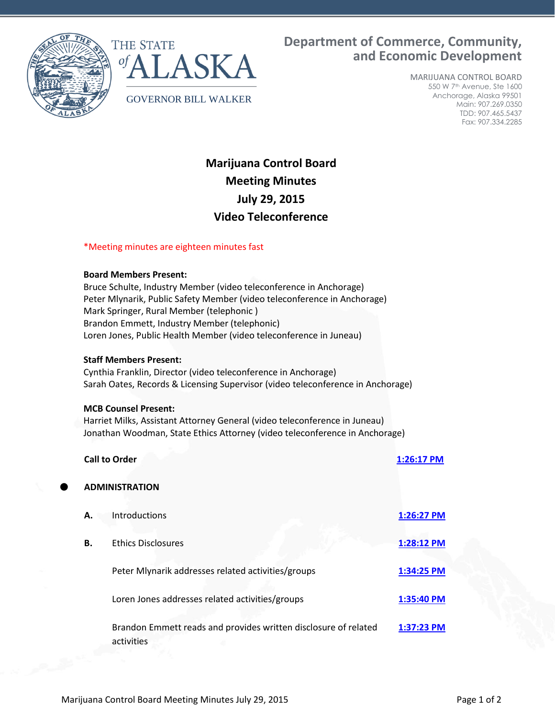



**Department of Commerce, Community, and Economic Development**

> MARIJUANA CONTROL BOARD 550 W 7th Avenue, Ste 1600 Anchorage, Alaska 99501 Main: 907.269.0350 TDD: 907.465.5437 Fax: 907.334.2285

# **Marijuana Control Board Meeting Minutes July 29, 2015 Video Teleconference**

## \*Meeting minutes are eighteen minutes fast

### **Board Members Present:**

Bruce Schulte, Industry Member (video teleconference in Anchorage) Peter Mlynarik, Public Safety Member (video teleconference in Anchorage) Mark Springer, Rural Member (telephonic ) Brandon Emmett, Industry Member (telephonic) Loren Jones, Public Health Member (video teleconference in Juneau)

#### **Staff Members Present:**

Cynthia Franklin, Director (video teleconference in Anchorage) Sarah Oates, Records & Licensing Supervisor (video teleconference in Anchorage)

#### **MCB Counsel Present:**

Harriet Milks, Assistant Attorney General (video teleconference in Juneau) Jonathan Woodman, State Ethics Attorney (video teleconference in Anchorage)

|           | <b>Call to Order</b>                                            | 1:26:17 PM |
|-----------|-----------------------------------------------------------------|------------|
|           | <b>ADMINISTRATION</b>                                           |            |
| А.        | Introductions                                                   | 1:26:27 PM |
| <b>B.</b> | <b>Ethics Disclosures</b>                                       | 1:28:12 PM |
|           | Peter Mlynarik addresses related activities/groups              | 1:34:25 PM |
|           | Loren Jones addresses related activities/groups                 | 1:35:40 PM |
|           | Brandon Emmett reads and provides written disclosure of related | 1:37:23 PM |
|           | activities                                                      |            |